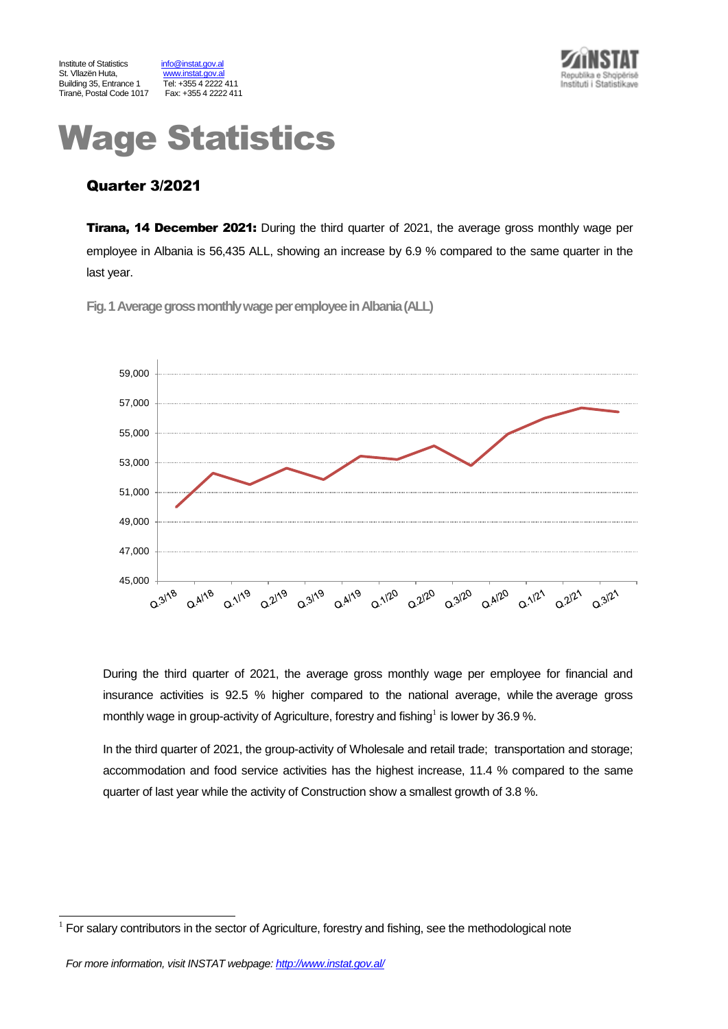



# Wage Statistics

# Quarter 3/2021

**Tirana, 14 December 2021:** During the third quarter of 2021, the average gross monthly wage per employee in Albania is 56,435 ALL, showing an increase by 6.9 % compared to the same quarter in the last year.

**Fig.1Average gross monthly wage per employeein Albania(ALL)**



During the third quarter of 2021, the average gross monthly wage per employee for financial and insurance activities is 92.5 % higher compared to the national average, while the average gross monthly wage in group-activity of Agriculture, forestry and fishing<sup>1</sup> is lower by 36.9 %.

In the third quarter of 2021, the group-activity of Wholesale and retail trade; transportation and storage; accommodation and food service activities has the highest increase, 11.4 % compared to the same quarter of last year while the activity of Construction show a smallest growth of 3.8 %.

l

<sup>1</sup> For salary contributors in the sector of Agriculture, forestry and fishing, see the methodological note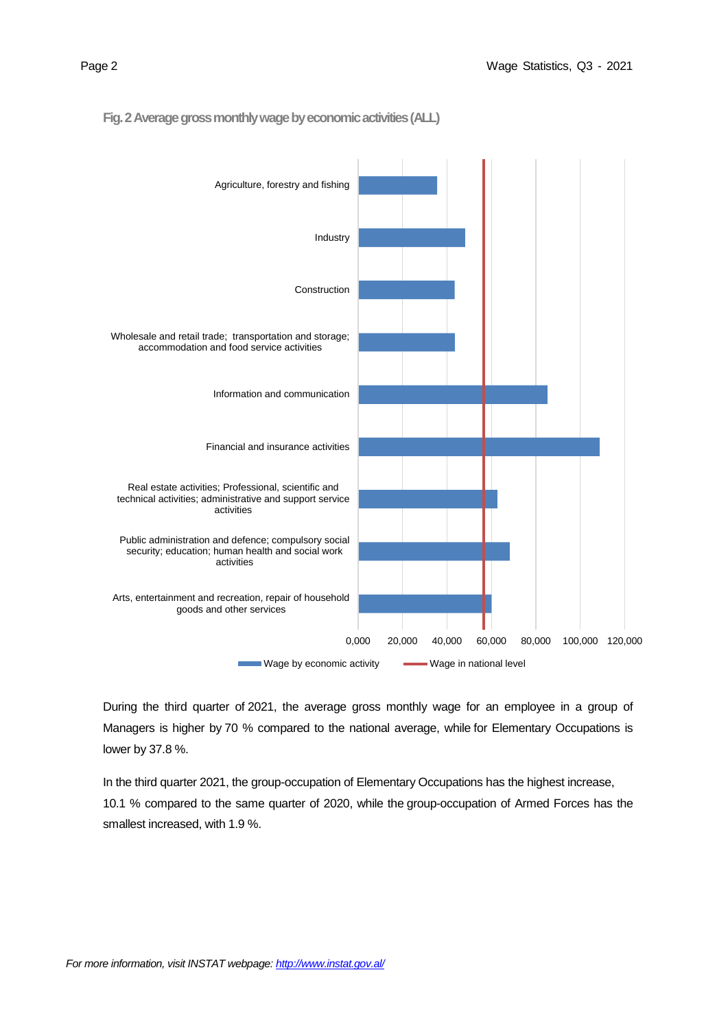

**Fig. 2 Average gross monthly wage by economic activities(ALL)**

During the third quarter of 2021, the average gross monthly wage for an employee in a group of Managers is higher by 70 % compared to the national average, while for Elementary Occupations is lower by 37.8 %.

In the third quarter 2021, the group-occupation of Elementary Occupations has the highest increase, 10.1 % compared to the same quarter of 2020, while the group-occupation of Armed Forces has the smallest increased, with 1.9 %.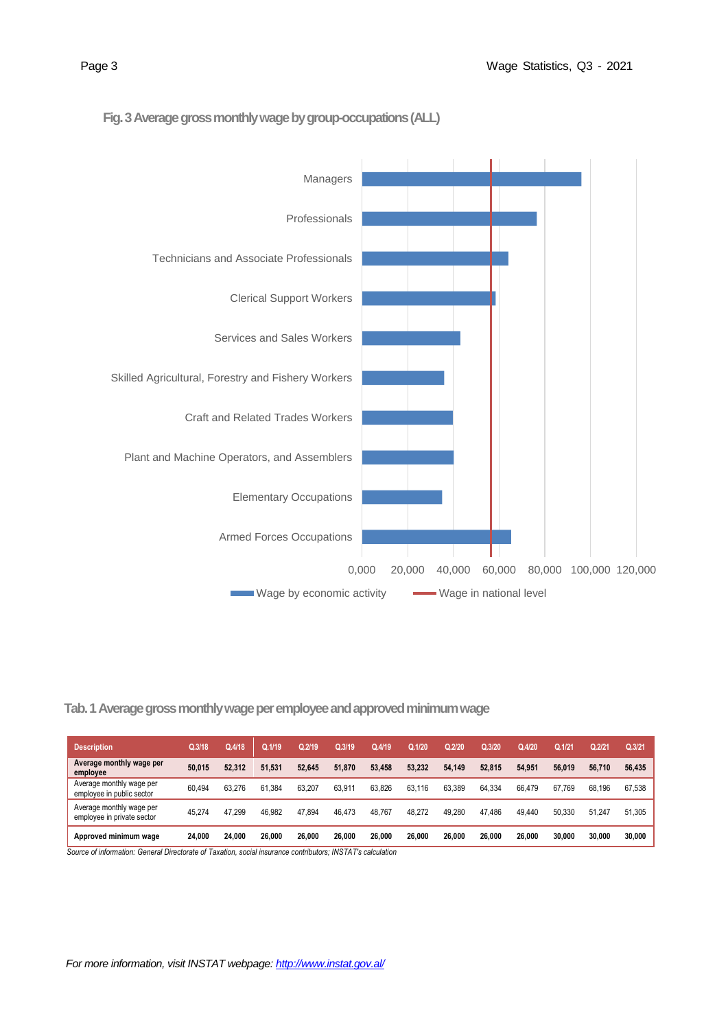

### **Fig. 3Average gross monthly wage by group-occupations(ALL)**

 **Tab. 1 Average gross monthly wage per employee and approved minimum wage** 

| <b>Description</b>                                                                                                                     | Q.3/18 | Q.4/18 | Q.1/19 | Q.2/19 | Q.3/19 | Q.4/19 | Q.1/20 | Q.2/20 | Q.3/20 | Q.4/20 | Q.1/21 | Q.2/21 | Q.3/21 |
|----------------------------------------------------------------------------------------------------------------------------------------|--------|--------|--------|--------|--------|--------|--------|--------|--------|--------|--------|--------|--------|
| Average monthly wage per<br>employee                                                                                                   | 50.015 | 52.312 | 51.531 | 52.645 | 51.870 | 53.458 | 53.232 | 54.149 | 52.815 | 54.951 | 56.019 | 56.710 | 56.435 |
| Average monthly wage per<br>employee in public sector                                                                                  | 60.494 | 63.276 | 61.384 | 63.207 | 63.911 | 63.826 | 63.116 | 63.389 | 64.334 | 66.479 | 67.769 | 68.196 | 67.538 |
| Average monthly wage per<br>employee in private sector                                                                                 | 45.274 | 47.299 | 46.982 | 47.894 | 46.473 | 48.767 | 48.272 | 49.280 | 47.486 | 49.440 | 50.330 | 51.247 | 51.305 |
| Approved minimum wage<br>Cause of information: Canoral Disasterate of Taugtion, posial incurrence contributors: INICTATIo calculation, | 24.000 | 24.000 | 26.000 | 26,000 | 26.000 | 26.000 | 26.000 | 26.000 | 26.000 | 26.000 | 30.000 | 30.000 | 30,000 |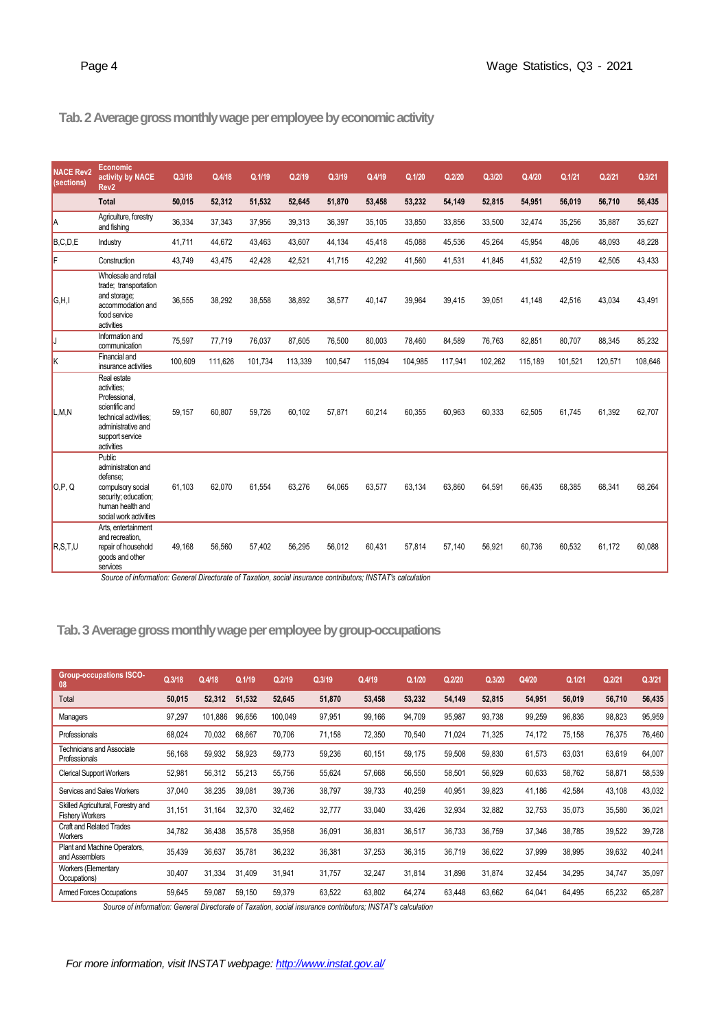# **Tab.2 Average gross monthly wage per employee by economic activity**

| <b>NACE Rev2</b><br>(sections) | Economic<br>activity by NACE<br>Rev <sub>2</sub>                                                                                              | Q.3/18  | Q.4/18  | Q.1/19  | Q.2/19  | Q.3/19  | Q.4/19  | Q.1/20  | Q.2/20  | Q.3/20  | Q.4/20  | Q.1/21  | Q.2/21  | Q.3/21  |
|--------------------------------|-----------------------------------------------------------------------------------------------------------------------------------------------|---------|---------|---------|---------|---------|---------|---------|---------|---------|---------|---------|---------|---------|
|                                | <b>Total</b>                                                                                                                                  | 50.015  | 52,312  | 51,532  | 52.645  | 51,870  | 53,458  | 53,232  | 54,149  | 52,815  | 54,951  | 56,019  | 56,710  | 56,435  |
| la                             | Agriculture, forestry<br>and fishing                                                                                                          | 36,334  | 37,343  | 37,956  | 39,313  | 36,397  | 35,105  | 33,850  | 33,856  | 33,500  | 32,474  | 35,256  | 35,887  | 35,627  |
| B.C.D.E                        | Industry                                                                                                                                      | 41.711  | 44.672  | 43,463  | 43,607  | 44,134  | 45,418  | 45,088  | 45,536  | 45,264  | 45,954  | 48,06   | 48,093  | 48,228  |
| F                              | Construction                                                                                                                                  | 43.749  | 43,475  | 42,428  | 42,521  | 41,715  | 42,292  | 41,560  | 41,531  | 41,845  | 41,532  | 42,519  | 42,505  | 43,433  |
| G.H.I                          | Wholesale and retail<br>trade; transportation<br>and storage;<br>accommodation and<br>food service<br>activities                              | 36.555  | 38,292  | 38,558  | 38.892  | 38,577  | 40.147  | 39,964  | 39,415  | 39.051  | 41.148  | 42.516  | 43,034  | 43,491  |
| IJ                             | Information and<br>communication                                                                                                              | 75,597  | 77,719  | 76,037  | 87,605  | 76,500  | 80,003  | 78,460  | 84,589  | 76,763  | 82,851  | 80,707  | 88,345  | 85,232  |
| lκ                             | Financial and<br>insurance activities                                                                                                         | 100,609 | 111,626 | 101,734 | 113,339 | 100,547 | 115,094 | 104,985 | 117,941 | 102,262 | 115,189 | 101,521 | 120,571 | 108,646 |
| L,M,N                          | Real estate<br>activities:<br>Professional,<br>scientific and<br>technical activities;<br>administrative and<br>support service<br>activities | 59.157  | 60,807  | 59.726  | 60.102  | 57,871  | 60,214  | 60.355  | 60,963  | 60.333  | 62,505  | 61.745  | 61,392  | 62,707  |
| O.P. Q                         | Public<br>administration and<br>defense:<br>compulsory social<br>security; education;<br>human health and<br>social work activities           | 61.103  | 62,070  | 61,554  | 63,276  | 64,065  | 63,577  | 63,134  | 63,860  | 64,591  | 66,435  | 68,385  | 68,341  | 68,264  |
| R.S.T.U                        | Arts, entertainment<br>and recreation,<br>repair of household<br>goods and other<br>services                                                  | 49,168  | 56,560  | 57,402  | 56,295  | 56,012  | 60,431  | 57,814  | 57,140  | 56,921  | 60,736  | 60,532  | 61,172  | 60,088  |

*Source of information: General Directorate of Taxation, social insurance contributors; INSTAT's calculation*

# **Tab.3Average gross monthly wage per employee by group-occupations**

| <b>Group-occupations ISCO-</b><br>08                         | Q.3/18 | Q.4/18  | Q.1/19 | Q.2/19  | Q.3/19 | Q.4/19 | Q.1/20 | Q.2/20 | Q.3/20 | Q4/20  | Q.1/21 | Q.2/21 | Q.3/21 |
|--------------------------------------------------------------|--------|---------|--------|---------|--------|--------|--------|--------|--------|--------|--------|--------|--------|
| Total                                                        | 50,015 | 52,312  | 51.532 | 52.645  | 51,870 | 53,458 | 53,232 | 54,149 | 52,815 | 54,951 | 56,019 | 56,710 | 56,435 |
| Managers                                                     | 97,297 | 101.886 | 96.656 | 100.049 | 97,951 | 99,166 | 94,709 | 95,987 | 93,738 | 99,259 | 96,836 | 98,823 | 95,959 |
| Professionals                                                | 68,024 | 70,032  | 68,667 | 70,706  | 71,158 | 72,350 | 70,540 | 71,024 | 71,325 | 74,172 | 75,158 | 76,375 | 76,460 |
| Technicians and Associate<br>Professionals                   | 56,168 | 59,932  | 58.923 | 59.773  | 59,236 | 60,151 | 59,175 | 59,508 | 59,830 | 61,573 | 63,031 | 63,619 | 64,007 |
| <b>Clerical Support Workers</b>                              | 52,981 | 56,312  | 55,213 | 55,756  | 55,624 | 57,668 | 56,550 | 58,501 | 56,929 | 60,633 | 58,762 | 58,871 | 58,539 |
| Services and Sales Workers                                   | 37,040 | 38,235  | 39,081 | 39,736  | 38,797 | 39,733 | 40,259 | 40,951 | 39,823 | 41,186 | 42,584 | 43,108 | 43,032 |
| Skilled Agricultural, Forestry and<br><b>Fishery Workers</b> | 31,151 | 31.164  | 32,370 | 32,462  | 32,777 | 33,040 | 33,426 | 32,934 | 32,882 | 32,753 | 35,073 | 35,580 | 36,021 |
| <b>Craft and Related Trades</b><br><b>Workers</b>            | 34,782 | 36.438  | 35.578 | 35,958  | 36,091 | 36,831 | 36,517 | 36,733 | 36,759 | 37,346 | 38,785 | 39,522 | 39,728 |
| Plant and Machine Operators,<br>and Assemblers               | 35,439 | 36,637  | 35,781 | 36,232  | 36,381 | 37,253 | 36,315 | 36,719 | 36,622 | 37,999 | 38,995 | 39,632 | 40,241 |
| <b>Workers (Elementary</b><br>Occupations)                   | 30,407 | 31,334  | 31,409 | 31,941  | 31,757 | 32,247 | 31,814 | 31,898 | 31,874 | 32,454 | 34,295 | 34,747 | 35,097 |
| <b>Armed Forces Occupations</b>                              | 59,645 | 59,087  | 59,150 | 59,379  | 63,522 | 63,802 | 64,274 | 63,448 | 63,662 | 64,041 | 64,495 | 65,232 | 65,287 |

*Source of information: General Directorate of Taxation, social insurance contributors; INSTAT's calculation*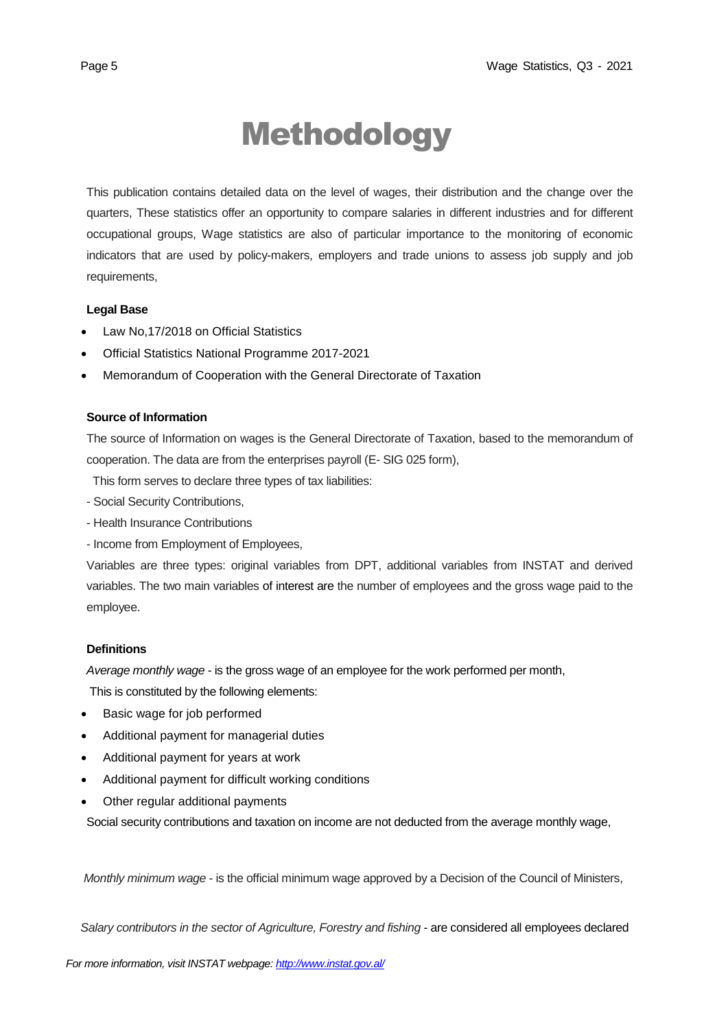# Methodology

This publication contains detailed data on the level of wages, their distribution and the change over the quarters, These statistics offer an opportunity to compare salaries in different industries and for different occupational groups, Wage statistics are also of particular importance to the monitoring of economic indicators that are used by policy-makers, employers and trade unions to assess job supply and job requirements,

### **Legal Base**

- [Law No,17/2018 on Official Statistics](http://instat.gov.al/media/3972/law-no17-2018-on-official-statistics.pdf)
- Official Statistics National Programme 2017-2021
- Memorandum of Cooperation with the General Directorate of Taxation

### **Source of Information**

The source of Information on wages is the General Directorate of Taxation, based to the memorandum of cooperation. The data are from the enterprises payroll (E- SIG 025 form),

This form serves to declare three types of tax liabilities:

- Social Security Contributions,
- Health Insurance Contributions
- Income from Employment of Employees,

Variables are three types: original variables from DPT, additional variables from INSTAT and derived variables. The two main variables of interest are the number of employees and the gross wage paid to the employee.

### **Definitions**

*Average monthly wage* - is the gross wage of an employee for the work performed per month,

This is constituted by the following elements:

- Basic wage for job performed
- Additional payment for managerial duties
- Additional payment for years at work
- Additional payment for difficult working conditions
- Other regular additional payments

Social security contributions and taxation on income are not deducted from the average monthly wage,

*Monthly minimum wage* - is the official minimum wage approved by a Decision of the Council of Ministers,

 *Salary contributors in the sector of Agriculture, Forestry and fishing* - are considered all employees declared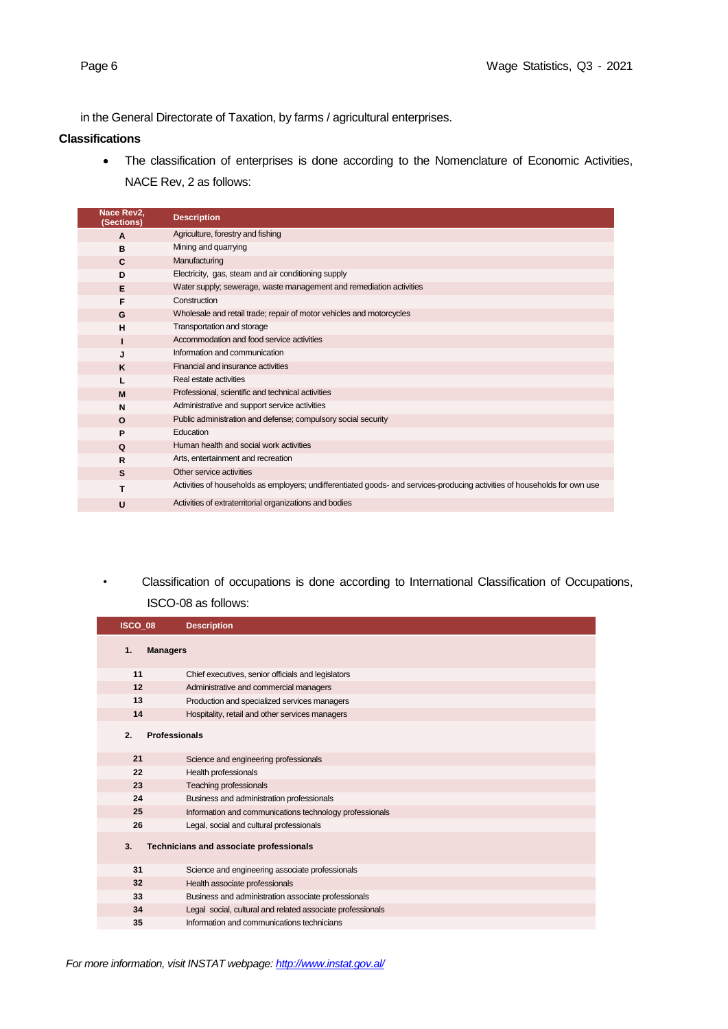in the General Directorate of Taxation, by farms / agricultural enterprises.

#### **Classifications**

• The classification of enterprises is done according to the Nomenclature of Economic Activities, NACE Rev, 2 as follows:

| Nace Rev2,<br>(Sections) | <b>Description</b>                                                                                                         |
|--------------------------|----------------------------------------------------------------------------------------------------------------------------|
| $\mathbf{A}$             | Agriculture, forestry and fishing                                                                                          |
| в                        | Mining and quarrying                                                                                                       |
| $\mathbf{C}$             | Manufacturing                                                                                                              |
| D                        | Electricity, gas, steam and air conditioning supply                                                                        |
| E                        | Water supply; sewerage, waste management and remediation activities                                                        |
| F                        | Construction                                                                                                               |
| G                        | Wholesale and retail trade; repair of motor vehicles and motorcycles                                                       |
| H                        | Transportation and storage                                                                                                 |
|                          | Accommodation and food service activities                                                                                  |
| J                        | Information and communication                                                                                              |
| K                        | Financial and insurance activities                                                                                         |
|                          | Real estate activities                                                                                                     |
| M                        | Professional, scientific and technical activities                                                                          |
| N                        | Administrative and support service activities                                                                              |
| $\Omega$                 | Public administration and defense; compulsory social security                                                              |
| P                        | Education                                                                                                                  |
| Q                        | Human health and social work activities                                                                                    |
| R                        | Arts, entertainment and recreation                                                                                         |
| S                        | Other service activities                                                                                                   |
| т                        | Activities of households as employers; undifferentiated goods- and services-producing activities of households for own use |
| U                        | Activities of extraterritorial organizations and bodies                                                                    |

*•* Classification of occupations is done according to International Classification of Occupations, ISCO-08 as follows:

| ISCO 08               | <b>Description</b>                                         |
|-----------------------|------------------------------------------------------------|
| 1.<br><b>Managers</b> |                                                            |
| 11                    | Chief executives, senior officials and legislators         |
| 12                    | Administrative and commercial managers                     |
| 13                    | Production and specialized services managers               |
| 14                    | Hospitality, retail and other services managers            |
| 2.                    | <b>Professionals</b>                                       |
| 21                    | Science and engineering professionals                      |
| 22                    | Health professionals                                       |
| 23                    | Teaching professionals                                     |
| 24                    | Business and administration professionals                  |
| 25                    | Information and communications technology professionals    |
| 26                    | Legal, social and cultural professionals                   |
| 3.                    | Technicians and associate professionals                    |
| 31                    | Science and engineering associate professionals            |
| 32                    | Health associate professionals                             |
| 33                    | Business and administration associate professionals        |
| 34                    | Legal social, cultural and related associate professionals |
| 35                    | Information and communications technicians                 |